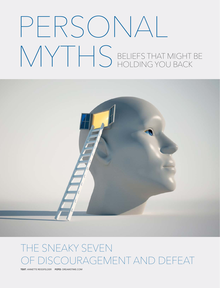# PERSONAL MYTHS BELIEFS THAT MIGHT BE HOLDING YOU BACK



# THE SNEAKY SEVEN DISCOURAGEMENT AND DEFEAT

TEXT: ANNETTE REISSFELDER FOTO: DREAMSTIME.COM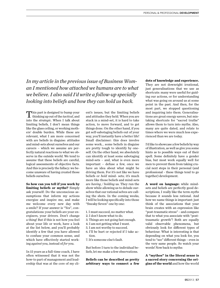*In my article in the previous issue of Business Woman I mentioned how attached we humans are to what we believe. I also said I'd write a follow-up specially looking into beliefs and how they can hold us back.*

This part is designed to bump your thinking up out of the *tactical*, and into the *strategic*. When I talk about limiting beliefs, I don't mean things like the glass ceiling, or working mothers' double burden. While these are relevant, what I am more concerned with are beliefs in disguise: attitudes and mind-sets about ourselves and our careers – which we assume are perfectly natural reactions to what we observe in the outside world. We tend to assume that these beliefs are careful, logical assessments of objective facts. And this is precisely the fallacy: we become unaware of having created those beliefs ourselves.

**So how can you tell if you work by limiting beliefs or myths?** Simply ask yourself: Do the unconscious assumptions that inform my actions energize and inspire me, and make me welcome every new day with a smile? If your answer is "Yes", congratulations: your beliefs are your energizers, your drivers. Don't change a thing! But if this is not how you feel about your life or work, have a look at the list below, and you'll probably identify a few that you have allowed to confuse your common sense, and which have effectively started working *against* you, instead of *for* you.

In 15 years as a full-time coach, I have often witnessed that it was not the how-to part of management and leadership that was at the core of my client's issues, but the limiting beliefs and attitudes they held. When you are stuck in a mind-set, it is hard to take action, to move forward, and to get things done. On the other hand, if you get self-sabotaging beliefs out of your way, you'll instantly have a better life! Small disclaimer: this does involve some work... some beliefs in disguise are pretty tough to identify by oneself. On the other hand, we absolutely can identify at least some sabotaging mind-sets – and, what is even more important – defuse a few, once we have an idea about what might be driving them. For it's not like we have beliefs or *hold* mind- sets; it's much more like those beliefs and mind-sets are *having / holding* us. They run the show while allowing us to delude ourselves that our rational selves are calling the shots. In the coming weeks, I will be looking specifically into those "Sneaky Seven" one by one:

- 1. I must succeed, no matter what.
- 2. I don't know what to do.
- 3. Things are not going fast enough.
- 4. I am not getting what I want.
- 5. I am not worthy to succeed.
- 6. I'll be hurt or rejected if I take action.
- 7. It's someone else's fault.

But before I turn to the individual beliefs, let me make a few observations.

**Beliefs can be described as pretty arbitrary ways to connect a few** 

#### **dots of knowledge and experience.**

They are not downright irrational, just generalisations that we use as shortcuts: many were useful for guiding our actions, or for understanding what was going on around us at some point in the past. And then, for the most part, we stopped questioning and inquiring into them. Generalisations are great energy savers, but mistaking shortcuts for "sacred truths" allows them to turn into myths. Also, many are quite dated, and relate to times where we were much less experienced than we are today.

I'd like to showcase a few beliefs by way of illustration, as well as give you some hints as to possible ways out of their spell. Some definitely have a gender bias, but most work equally well for men to prevent them from taking crucial next steps in their personal (and professional - these things tend to go together) development.

**A word on language:** while mindsets and beliefs are perfectly good descriptions, I really like the term *myths* because it sounds less rational. And how we name things is important: just think of the associations that your brain creates with an expression like "post-traumatic stress" – and compare that to what you associate with "posttraumatic growth"! Both are equally valid observable phenomena, but obviously look for different types of behaviour. What is interesting is that depending on what you look for, you tend to "see" different things – even in the very same people. So watch your words! Now back to myths:

**A "mythos" in the literal sense is a sacred story concerning the origins of the world** and how the world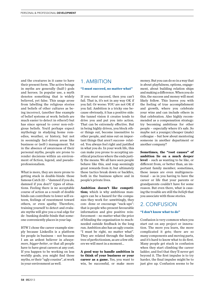and the creatures in it came to have their present form. The active beings in myths are generally (half-) gods and heroes. In popular use, a myth denotes something that is widely believed, yet false. This usage arose from labelling the religious stories and beliefs of other cultures as being incorrect, (another fine example of belief systems at work: beliefs are much easier to detect in others!) but has since spread to cover non-religious beliefs. You'd perhaps expect mythology in studying home remedies, weather, or history, but not in seemingly fact-driven areas like business or (self-) management. Yet in the absence of awareness of their personal myths, people are prone to render decisions within an environment of fiction, legend, and pseudoprofessionalism.

What is more, they are more prone to getting stuck in double-binds: those famous Catch 22 – "damned if you do, damned if you don't" types of situations. Feeling there is no acceptable course of action as a result of double binds can contribute to lower self-esteem, feelings of resentment toward others, or even apathy. Therefore, training yourself to detect and evaluate myths will give you a real edge for de- bunking double-binds that someone conveniently places in your lap.

BTW I chose the career example simply because LinkedIn is a platform for people in business – not because I am an ardent believer in *alwaysmore*, *bigger-better*, or that all people have to have great careers at any cost. If you happen to be working on less worldly goals, you might find those myths, or their "ugly cousins", at work in your environment as well.

## 1. AMBITION

#### **"I must succeed, no matter what"**

If you *must* succeed, then you can't fail. That is, it's not in any way OK if you fail. Or worse: YOU are not OK if you fail. Ambition is a tricky one because obviously, it has a positive side: the tunnel vision it creates tends to drive you and put you into action. That can be extremely effective. But in being highly driven, you block other things out, become insensitive to other people, and miss out on important things that aren't success- related. You always feel right and justified in what you do. In your work life, this can make you prone to accepting unethical practices where the ends justify the means. We all have seen people behave like this, and reap seemingly great rewards from it; but ultimately these tactics break down or backfire, both in the business sphere and in people's private lives.

**Ambition doesn't like competition;** which is why ambitious managers can be a hazard for the companies they work for: unwittingly, they con- done or encourage "suck-ups": that is people who present favourable information and give positive reinforcement – no matter what the price of blinding the organisation to muchneeded outside feedback in the long run. Ambition also has an ugly cousin: "I must be right, no matter what". They are related through the family tree of perfectionism, as are a few others we will meet in a moment...

**A good way to handle ambition is to think of your business or your career as a game.** Yes, you want to win, be successful, or make more

money. But you can do so in a way that is about playfulness, options, engagement, about building relation ships and making a difference. When you do this, the success and money will most likely follow. This leaves you with the feeling of true accomplishment and growth, where you celebrate your wins and can include others in that celebration. Also highly recommended as a compensation strategy: try becoming ambitious for other people – especially where it's safe. So maybe not a younger/cheaper (male) colleague – but how about mentoring someone in another department or another company?

**Sometimes, the "root causes" of ambition lie on a much deeper level** – such as wanting to be like, or different from, or better than, an important family member; sometimes, these issues are even multigenerational – as in you having to have the career or life that your parents or grandparents couldn't have for some reason. But even there, what is causing the trouble are still the *beliefs* that you associate with those stories.

### 2. CONFUSION

#### **"I don't know what to do"**

Confusion is very common when you start out on any project or innovation. The more you learn, the more complicated it gets; there are so many components and moving parts, and it's hard to know what to do first. Many people get stuck in confusion when they start climbing the career ladder, and feel that they'll never get beyond it. The first impulse is to try harder, the final impulse might be to just give up. Confusion seems to be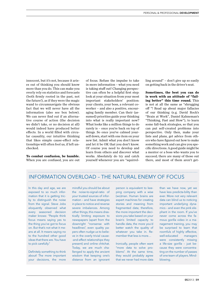innocent, but it's not, because it arises out of thinking you should know more than you do. This can make you overly rely on statistics and forecasts (both firmly rooted in the past, not the future!), as if they were the magic wand to circumnavigate the obvious fact that we will never have all the information (also see box below). We can never find out if an alternative course of action (the decision we didn't take, or no decision at all) would indeed have produced better effects. In a world filled with circular causality, our intuitive thinking that likes simple cause-effect relationships will often fool us, if left unchecked.

**To combat confusion, be humble.**  When you are confused, you are out of focus. Refuse the impulse to take in more information – what you need is taking stuff out! Changing perspective can often be a helpful first step: look at your situation from your most important stakeholders' position: your clients, your boss, a relevant coworker – and also a positive, encouraging family member. Can their (assumed) priorities guide your thinking into what is really important now? What looks like a million things to do rarely is – once you're back on top of things. So once you've calmed yourself down, start with one item on your new list. Admit what you don't know and let it be OK that you don't know. Of course you need to develop and learn from others and discover what works. Absolutely do try and catch yourself whenever you are "squirrelling around" – don't give up so easily on getting back in the driver's seat.

**Sometimes, the best you can do is work with an attitude of "failing better" this time round.** This is not at all the same as "shrugging off "! Read up about major fallacies of our thinking (e.g. David Rock's "Brain at Work", Daniel Kahneman's "Thinking, Fast and Slow"), to learn some fall-back strategies, so that you can put self-created problems into perspective. Only then, make your lists and plans, get advice from others who have figured out how to make something work and can give you specific directions. A good guide might be a mentor or a boss who wants you to succeed; there are many of those out there, and most of them aren't get-

> than we have now, yet we have less predicta-bility than ever. More not very relevant data can blind us to noticing important underlying dynamics – and even the pink elephant in the room. If you've never come across the famous gorilla video in a management training, you may be surprised to learn that roomfuls of highly effective, well-educated managers were consistently missing a life-size gorilla – just because they were concentrating on the number of passes of one team of players. Mind-

blowing.

# INFORMATION OVERLOAD – THE NATURAL ENEMY OF FOCUS

In this day and age, we are exposed to so much information that it is getting tricky to distinguish the noise from the signal. Steve Jobs eloquently observed what every seasoned decision maker knows: "People think focus means saying yes to the thing you've got to focus on. But that's not what it means at all. It means saying no to the hundred other good ideas that there are. You have to pick carefully."

Definitely something to think about! The more important your decisions, the more

mindful you should be about the noise-to-signal-ratio of your trusted sources of information – and have strategies in place to notice and reverse severe imbalances. Among other things, this means drastically limiting exposure to newspapers (apart from the downright "nonsense with headlines", even quality papers often nudge us to believe in the overly trivial cause- -and-effect relationships they present) and online chitchat. Today, we are much challenged to apply the ancient wisdom that keeping one's distance from an ignorant

person is equivalent to keeping company with a wise (wo)man. Human brains are expert machines for creating stories and meaning from fragmented data; therefore, the more important the decisions you take based on your brain's limited capacity to handle data, the more you'd better watch the quality of whatever you take in. Remember that less is more…

Ironically, people often want "more data to solve problems". At the same time, they would probably agree that we never had more data

PERSONAL & PROFESSIONAL DEVELOPMENT